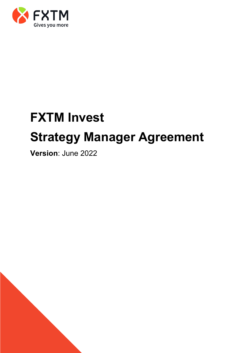

# **FXTM Invest Strategy Manager Agreement**

**Version**: June 2022

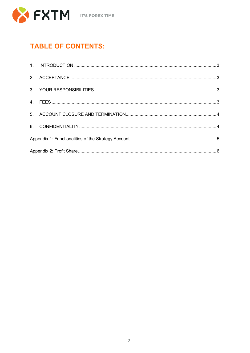

### **TABLE OF CONTENTS:**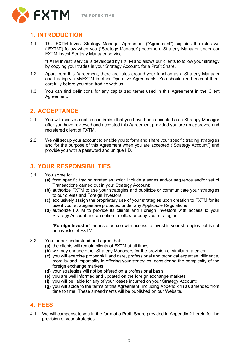**IT'S FOREX TIME** 



### <span id="page-2-0"></span>**1. INTRODUCTION**

1.1. This FXTM Invest Strategy Manager Agreement ("Agreement") explains the rules we ("FXTM") follow when you ("Strategy Manager") become a Strategy Manager under our FXTM Invest Strategy Manager service.

"FXTM Invest" service is developed by FXTM and allows our clients to follow your strategy by copying your trades in your Strategy Account, for a Profit Share.

- 1.2. Apart from this Agreement, there are rules around your function as a Strategy Manager and trading via MyFXTM in other Operative Agreements. You should read each of them carefully before you start trading with us.
- 1.3. You can find definitions for any capitalized terms used in this Agreement in the Client Agreement.

### <span id="page-2-1"></span>**2. ACCEPTANCE**

- 2.1. You will receive a notice confirming that you have been accepted as a Strategy Manager after you have reviewed and accepted this Agreement provided you are an approved and registered client of FXTM.
- 2.2. We will set up your account to enable you to form and share your specific trading strategies and for the purpose of this Agreement when you are accepted ("Strategy Account") and provide you with a password and unique I.D.

### <span id="page-2-2"></span>**3. YOUR RESPONSIBILITIES**

- 3.1. You agree to:
	- **(a)** form specific trading strategies which include a series and/or sequence and/or set of Transactions carried out in your Strategy Account;
	- **(b)** authorize FXTM to use your strategies and publicize or communicate your strategies to our clients and Foreign Investors;
	- **(c)** exclusively assign the proprietary use of your strategies upon creation to FXTM for its use if your strategies are protected under any Applicable Regulations;
	- **(d)** authorize FXTM to provide its clients and Foreign Investors with access to your Strategy Account and an option to follow or copy your strategies.

"**Foreign Investor**" means a person with access to invest in your strategies but is not an investor of FXTM.

- 3.2. You further understand and agree that:
	- **(a)** the clients will remain clients of FXTM at all times;
	- **(b)** we may engage other Strategy Managers for the provision of similar strategies;
	- **(c)** you will exercise proper skill and care, professional and technical expertise, diligence, morality and impartiality in offering your strategies, considering the complexity of the foreign exchange markets;
	- **(d)** your strategies will not be offered on a professional basis;
	- **(e)** you are well informed and updated on the foreign exchange markets;
	- **(f)** you will be liable for any of your losses incurred on your Strategy Account;
	- **(g)** you will abide to the terms of this Agreement (including Appendix 1) as amended from time to time. These amendments will be published on our Website.

### <span id="page-2-3"></span>**4. FEES**

4.1. We will compensate you in the form of a Profit Share provided in Appendix 2 herein for the provision of your strategies.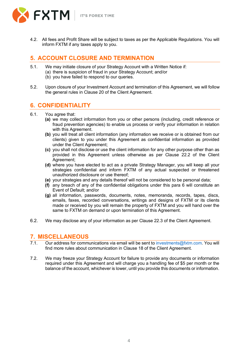

4.2. All fees and Profit Share will be subject to taxes as per the Applicable Regulations. You will inform FXTM if any taxes apply to you.

### <span id="page-3-0"></span>**5. ACCOUNT CLOSURE AND TERMINATION**

- 5.1. We may initiate closure of your Strategy Account with a Written Notice if:
	- (a) there is suspicion of fraud in your Strategy Account; and/or
		- (b) you have failed to respond to our queries.
- 5.2. Upon closure of your Investment Account and termination of this Agreement, we will follow the general rules in Clause 20 of the Client Agreement.

### <span id="page-3-1"></span>**6. CONFIDENTIALITY**

- 6.1. You agree that:
	- **(a)** we may collect information from you or other persons (including, credit reference or fraud prevention agencies) to enable us process or verify your information in relation with this Agreement.
	- **(b)** you will treat all client information (any information we receive or is obtained from our clients) given to you under this Agreement as confidential information as provided under the Client Agreement;
	- **(c)** you shall not disclose or use the client information for any other purpose other than as provided in this Agreement unless otherwise as per Clause 22.2 of the Client Agreement;
	- **(d)** where you have elected to act as a private Strategy Manager, you will keep all your strategies confidential and inform FXTM of any actual suspected or threatened unauthorized disclosure or use thereof;
	- **(e)** your strategies and any details thereof will not be considered to be personal data;
	- **(f)** any breach of any of the confidential obligations under this para 6 will constitute an Event of Default; and/or
	- **(g)** all information, passwords, documents, notes, memoranda, records, tapes, discs, emails, faxes, recorded conversations, writings and designs of FXTM or its clients made or received by you will remain the property of FXTM and you will hand over the same to FXTM on demand or upon termination of this Agreement.
- 6.2. We may disclose any of your information as per Clause 22.3 of the Client Agreement.

## **7. MISCELLANEOUS**

- Our address for communications via email will be sent to [investments@fxtm.com.](mailto:investments@fxtm.com) You will find more rules about communication in Clause 18 of the Client Agreement.
- 7.2. We may freeze your Strategy Account for failure to provide any documents or information required under this Agreement and will charge you a handling fee of \$5 per month or the balance of the account, whichever is lower, until you provide this documents or information.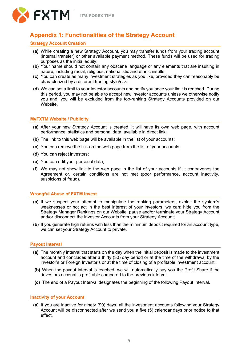

### <span id="page-4-0"></span>**Appendix 1: Functionalities of the Strategy Account**

### **Strategy Account Creation**

- **(a)** While creating a new Strategy Account, you may transfer funds from your trading account (internal transfer) or other available payment method. These funds will be used for trading purposes as the initial equity;
- **(b)** Your name should not contain any obscene language or any elements that are insulting in nature, including racial, religious, nationalistic and ethnic insults;
- **(c)** You can create as many investment strategies as you like, provided they can reasonably be characterized by a different trading style/risk.
- **(d)** We can set a limit to your Investor accounts and notify you once your limit is reached. During this period, you may not be able to accept new investor accounts unless we otherwise notify you and, you will be excluded from the top-ranking Strategy Accounts provided on our **Website**

### **MyFXTM Website / Publicity**

- **(a)** After your new Strategy Account is created, it will have its own web page, with account performance, statistics and personal data, available in direct link;
- **(b)** The link to this web page will be available in the list of your accounts;
- **(c)** You can remove the link on the web page from the list of your accounts;
- **(d)** You can reject investors;
- **(e)** You can edit your personal data;
- **(f)** We may not show link to the web page in the list of your accounts if: it contravenes the Agreement or, certain conditions are not met (poor performance, account inactivity, suspicions of fraud).

### **Wrongful Abuse of FXTM Invest**

- **(a)** If we suspect your attempt to manipulate the ranking parameters, exploit the system's weaknesses or not act in the best interest of your investors, we can: hide you from the Strategy Manager Rankings on our Website, pause and/or terminate your Strategy Account and/or disconnect the Investor Accounts from your Strategy Account;
- **(b)** If you generate high returns with less than the minimum deposit required for an account type, we can set your Strategy Account to private.

### **Payout Interval**

- **(a)** The monthly interval that starts on the day when the initial deposit is made to the investment account and concludes after a thirty (30) day period or at the time of the withdrawal by the investor's or Foreign Investor's or at the time of closing of a profitable investment account;
- **(b)** When the payout interval is reached, we will automatically pay you the Profit Share if the investors account is profitable compared to the previous interval.
- **(c)** The end of a Payout Interval designates the beginning of the following Payout Interval.

### **Inactivity of your Account**

**(a)** If you are inactive for ninety (90) days, all the investment accounts following your Strategy Account will be disconnected after we send you a five (5) calendar days prior notice to that effect.